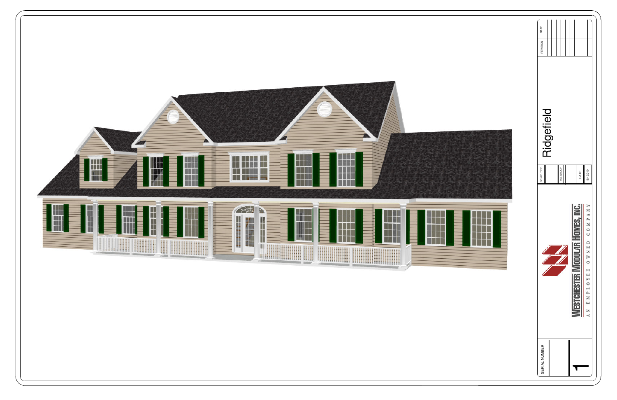

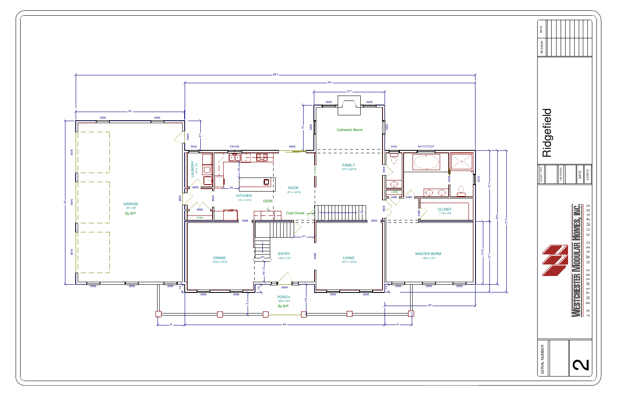